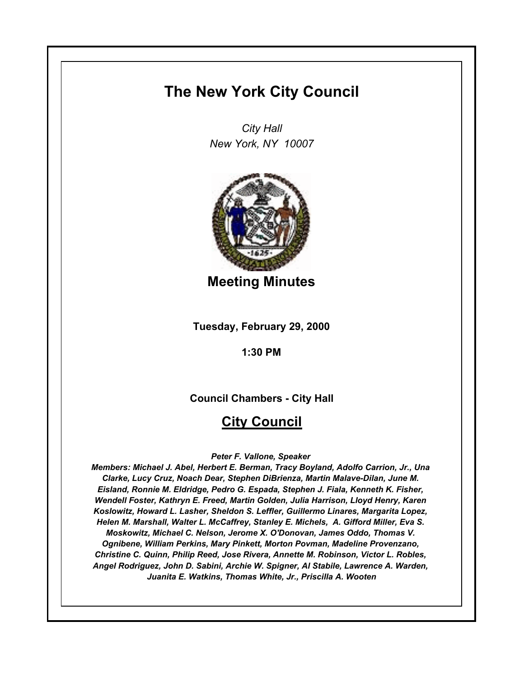# **The New York City Council**

*City Hall New York, NY 10007*



**Meeting Minutes**

**Tuesday, February 29, 2000**

**1:30 PM**

**Council Chambers - City Hall**

# **City Council**

*Peter F. Vallone, Speaker* 

*Members: Michael J. Abel, Herbert E. Berman, Tracy Boyland, Adolfo Carrion, Jr., Una Clarke, Lucy Cruz, Noach Dear, Stephen DiBrienza, Martin Malave-Dilan, June M. Eisland, Ronnie M. Eldridge, Pedro G. Espada, Stephen J. Fiala, Kenneth K. Fisher, Wendell Foster, Kathryn E. Freed, Martin Golden, Julia Harrison, Lloyd Henry, Karen Koslowitz, Howard L. Lasher, Sheldon S. Leffler, Guillermo Linares, Margarita Lopez, Helen M. Marshall, Walter L. McCaffrey, Stanley E. Michels, A. Gifford Miller, Eva S. Moskowitz, Michael C. Nelson, Jerome X. O'Donovan, James Oddo, Thomas V. Ognibene, William Perkins, Mary Pinkett, Morton Povman, Madeline Provenzano, Christine C. Quinn, Philip Reed, Jose Rivera, Annette M. Robinson, Victor L. Robles, Angel Rodriguez, John D. Sabini, Archie W. Spigner, Al Stabile, Lawrence A. Warden, Juanita E. Watkins, Thomas White, Jr., Priscilla A. Wooten*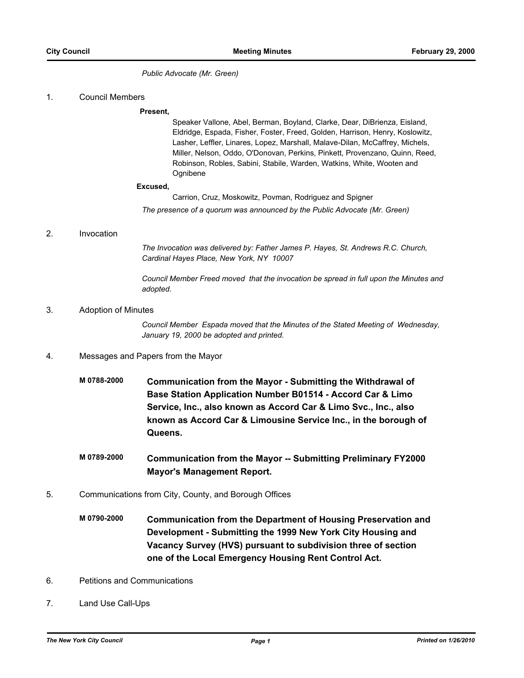*Public Advocate (Mr. Green)*

#### 1. Council Members

#### **Present,**

Speaker Vallone, Abel, Berman, Boyland, Clarke, Dear, DiBrienza, Eisland, Eldridge, Espada, Fisher, Foster, Freed, Golden, Harrison, Henry, Koslowitz, Lasher, Leffler, Linares, Lopez, Marshall, Malave-Dilan, McCaffrey, Michels, Miller, Nelson, Oddo, O'Donovan, Perkins, Pinkett, Provenzano, Quinn, Reed, Robinson, Robles, Sabini, Stabile, Warden, Watkins, White, Wooten and Ognibene

#### **Excused,**

Carrion, Cruz, Moskowitz, Povman, Rodriguez and Spigner *The presence of a quorum was announced by the Public Advocate (Mr. Green)*

#### 2. Invocation

*The Invocation was delivered by: Father James P. Hayes, St. Andrews R.C. Church, Cardinal Hayes Place, New York, NY 10007*

*Council Member Freed moved that the invocation be spread in full upon the Minutes and adopted.*

#### 3. Adoption of Minutes

*Council Member Espada moved that the Minutes of the Stated Meeting of Wednesday, January 19, 2000 be adopted and printed.*

## 4. Messages and Papers from the Mayor

- **M 0788-2000 Communication from the Mayor Submitting the Withdrawal of Base Station Application Number B01514 - Accord Car & Limo Service, Inc., also known as Accord Car & Limo Svc., Inc., also known as Accord Car & Limousine Service Inc., in the borough of Queens.**
- **M 0789-2000 Communication from the Mayor -- Submitting Preliminary FY2000 Mayor's Management Report.**
- 5. Communications from City, County, and Borough Offices
	- **M 0790-2000 Communication from the Department of Housing Preservation and Development - Submitting the 1999 New York City Housing and Vacancy Survey (HVS) pursuant to subdivision three of section one of the Local Emergency Housing Rent Control Act.**
- 6. Petitions and Communications
- 7. Land Use Call-Ups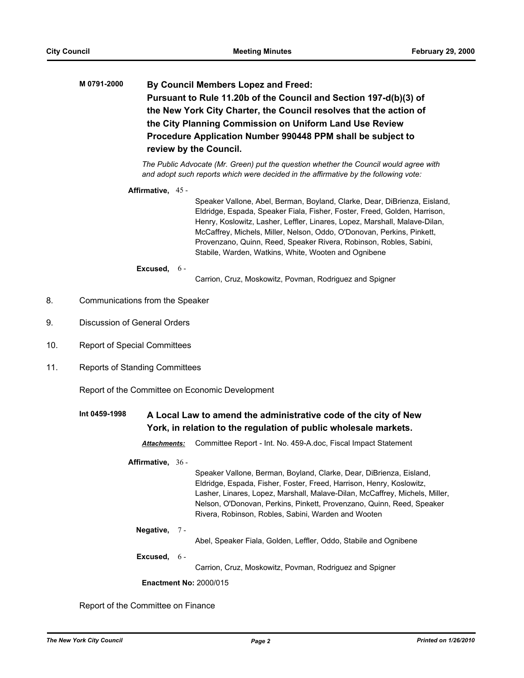**M 0791-2000 By Council Members Lopez and Freed: Pursuant to Rule 11.20b of the Council and Section 197-d(b)(3) of the New York City Charter, the Council resolves that the action of the City Planning Commission on Uniform Land Use Review Procedure Application Number 990448 PPM shall be subject to review by the Council.**

> *The Public Advocate (Mr. Green) put the question whether the Council would agree with and adopt such reports which were decided in the affirmative by the following vote:*

#### **Affirmative,** 45 -

Speaker Vallone, Abel, Berman, Boyland, Clarke, Dear, DiBrienza, Eisland, Eldridge, Espada, Speaker Fiala, Fisher, Foster, Freed, Golden, Harrison, Henry, Koslowitz, Lasher, Leffler, Linares, Lopez, Marshall, Malave-Dilan, McCaffrey, Michels, Miller, Nelson, Oddo, O'Donovan, Perkins, Pinkett, Provenzano, Quinn, Reed, Speaker Rivera, Robinson, Robles, Sabini, Stabile, Warden, Watkins, White, Wooten and Ognibene

#### **Excused,** 6 -

Carrion, Cruz, Moskowitz, Povman, Rodriguez and Spigner

- 8. Communications from the Speaker
- 9. Discussion of General Orders
- 10. Report of Special Committees
- 11. Reports of Standing Committees

Report of the Committee on Economic Development

# **Int 0459-1998 A Local Law to amend the administrative code of the city of New York, in relation to the regulation of public wholesale markets.**

*Attachments:* Committee Report - Int. No. 459-A.doc, Fiscal Impact Statement

### **Affirmative,** 36 -

Speaker Vallone, Berman, Boyland, Clarke, Dear, DiBrienza, Eisland, Eldridge, Espada, Fisher, Foster, Freed, Harrison, Henry, Koslowitz, Lasher, Linares, Lopez, Marshall, Malave-Dilan, McCaffrey, Michels, Miller, Nelson, O'Donovan, Perkins, Pinkett, Provenzano, Quinn, Reed, Speaker Rivera, Robinson, Robles, Sabini, Warden and Wooten

#### **Negative,** 7 -

Abel, Speaker Fiala, Golden, Leffler, Oddo, Stabile and Ognibene

**Excused,** 6 -

Carrion, Cruz, Moskowitz, Povman, Rodriguez and Spigner

**Enactment No:** 2000/015

#### Report of the Committee on Finance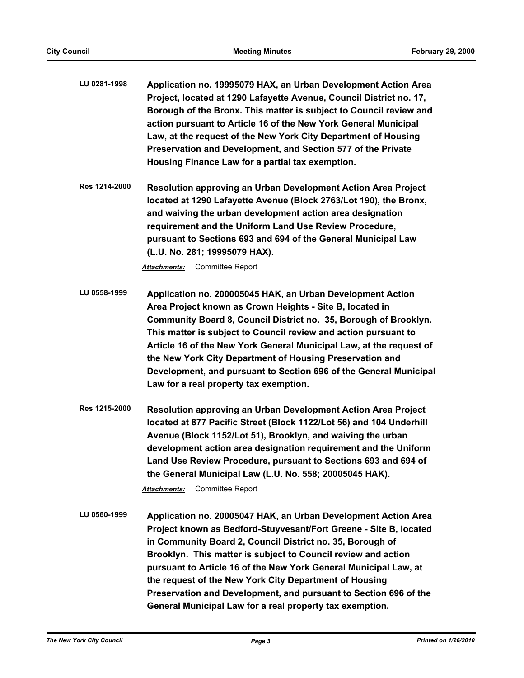- **LU 0281-1998 Application no. 19995079 HAX, an Urban Development Action Area Project, located at 1290 Lafayette Avenue, Council District no. 17, Borough of the Bronx. This matter is subject to Council review and action pursuant to Article 16 of the New York General Municipal Law, at the request of the New York City Department of Housing Preservation and Development, and Section 577 of the Private Housing Finance Law for a partial tax exemption.**
- **Res 1214-2000 Resolution approving an Urban Development Action Area Project located at 1290 Lafayette Avenue (Block 2763/Lot 190), the Bronx, and waiving the urban development action area designation requirement and the Uniform Land Use Review Procedure, pursuant to Sections 693 and 694 of the General Municipal Law (L.U. No. 281; 19995079 HAX).**

- **LU 0558-1999 Application no. 200005045 HAK, an Urban Development Action Area Project known as Crown Heights - Site B, located in Community Board 8, Council District no. 35, Borough of Brooklyn. This matter is subject to Council review and action pursuant to Article 16 of the New York General Municipal Law, at the request of the New York City Department of Housing Preservation and Development, and pursuant to Section 696 of the General Municipal Law for a real property tax exemption.**
- **Res 1215-2000 Resolution approving an Urban Development Action Area Project located at 877 Pacific Street (Block 1122/Lot 56) and 104 Underhill Avenue (Block 1152/Lot 51), Brooklyn, and waiving the urban development action area designation requirement and the Uniform Land Use Review Procedure, pursuant to Sections 693 and 694 of the General Municipal Law (L.U. No. 558; 20005045 HAK).**

*Attachments:* Committee Report

**LU 0560-1999 Application no. 20005047 HAK, an Urban Development Action Area Project known as Bedford-Stuyvesant/Fort Greene - Site B, located in Community Board 2, Council District no. 35, Borough of Brooklyn. This matter is subject to Council review and action pursuant to Article 16 of the New York General Municipal Law, at the request of the New York City Department of Housing Preservation and Development, and pursuant to Section 696 of the General Municipal Law for a real property tax exemption.**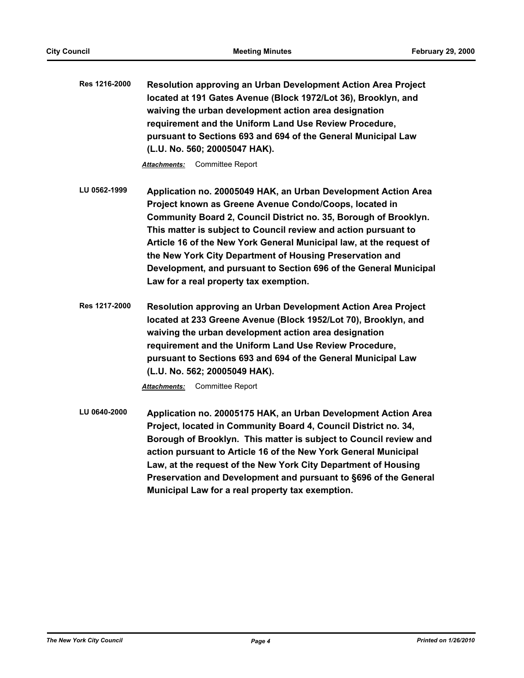**Res 1216-2000 Resolution approving an Urban Development Action Area Project located at 191 Gates Avenue (Block 1972/Lot 36), Brooklyn, and waiving the urban development action area designation requirement and the Uniform Land Use Review Procedure, pursuant to Sections 693 and 694 of the General Municipal Law (L.U. No. 560; 20005047 HAK).**

*Attachments:* Committee Report

- **LU 0562-1999 Application no. 20005049 HAK, an Urban Development Action Area Project known as Greene Avenue Condo/Coops, located in Community Board 2, Council District no. 35, Borough of Brooklyn. This matter is subject to Council review and action pursuant to Article 16 of the New York General Municipal law, at the request of the New York City Department of Housing Preservation and Development, and pursuant to Section 696 of the General Municipal Law for a real property tax exemption.**
- **Res 1217-2000 Resolution approving an Urban Development Action Area Project located at 233 Greene Avenue (Block 1952/Lot 70), Brooklyn, and waiving the urban development action area designation requirement and the Uniform Land Use Review Procedure, pursuant to Sections 693 and 694 of the General Municipal Law (L.U. No. 562; 20005049 HAK).**

*Attachments:* Committee Report

**LU 0640-2000 Application no. 20005175 HAK, an Urban Development Action Area Project, located in Community Board 4, Council District no. 34, Borough of Brooklyn. This matter is subject to Council review and action pursuant to Article 16 of the New York General Municipal Law, at the request of the New York City Department of Housing Preservation and Development and pursuant to §696 of the General Municipal Law for a real property tax exemption.**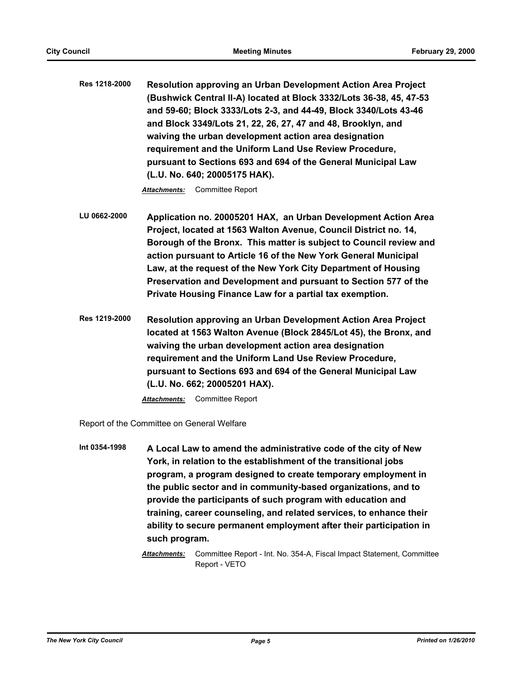**Res 1218-2000 Resolution approving an Urban Development Action Area Project (Bushwick Central II-A) located at Block 3332/Lots 36-38, 45, 47-53 and 59-60; Block 3333/Lots 2-3, and 44-49, Block 3340/Lots 43-46 and Block 3349/Lots 21, 22, 26, 27, 47 and 48, Brooklyn, and waiving the urban development action area designation requirement and the Uniform Land Use Review Procedure, pursuant to Sections 693 and 694 of the General Municipal Law (L.U. No. 640; 20005175 HAK).**

*Attachments:* Committee Report

- **LU 0662-2000 Application no. 20005201 HAX, an Urban Development Action Area Project, located at 1563 Walton Avenue, Council District no. 14, Borough of the Bronx. This matter is subject to Council review and action pursuant to Article 16 of the New York General Municipal Law, at the request of the New York City Department of Housing Preservation and Development and pursuant to Section 577 of the Private Housing Finance Law for a partial tax exemption.**
- **Res 1219-2000 Resolution approving an Urban Development Action Area Project located at 1563 Walton Avenue (Block 2845/Lot 45), the Bronx, and waiving the urban development action area designation requirement and the Uniform Land Use Review Procedure, pursuant to Sections 693 and 694 of the General Municipal Law (L.U. No. 662; 20005201 HAX).**

*Attachments:* Committee Report

Report of the Committee on General Welfare

**Int 0354-1998 A Local Law to amend the administrative code of the city of New York, in relation to the establishment of the transitional jobs program, a program designed to create temporary employment in the public sector and in community-based organizations, and to provide the participants of such program with education and training, career counseling, and related services, to enhance their ability to secure permanent employment after their participation in such program.**

*Attachments:* Committee Report - Int. No. 354-A, Fiscal Impact Statement, Committee Report - VETO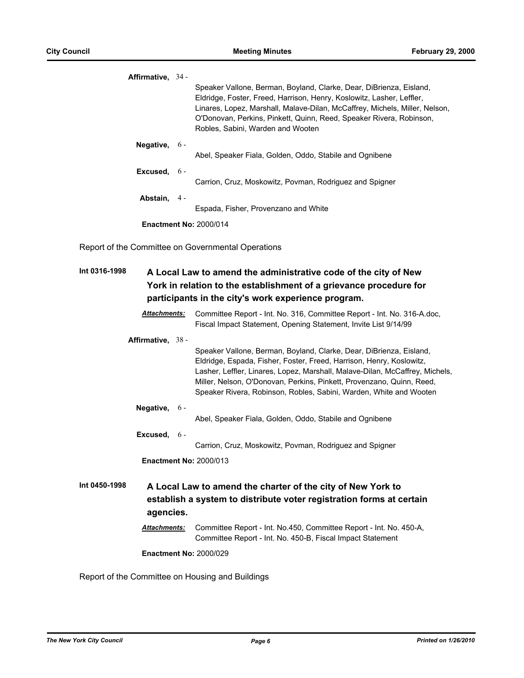| Affirmative, 34 - |                 |                                                                                                                                                                                                                                                                                                                                         |
|-------------------|-----------------|-----------------------------------------------------------------------------------------------------------------------------------------------------------------------------------------------------------------------------------------------------------------------------------------------------------------------------------------|
|                   |                 | Speaker Vallone, Berman, Boyland, Clarke, Dear, DiBrienza, Eisland,<br>Eldridge, Foster, Freed, Harrison, Henry, Koslowitz, Lasher, Leffler,<br>Linares, Lopez, Marshall, Malave-Dilan, McCaffrey, Michels, Miller, Nelson,<br>O'Donovan, Perkins, Pinkett, Quinn, Reed, Speaker Rivera, Robinson,<br>Robles, Sabini, Warden and Wooten |
|                   | Negative, $6 -$ | Abel, Speaker Fiala, Golden, Oddo, Stabile and Ognibene                                                                                                                                                                                                                                                                                 |
|                   | Excused, $6-$   | Carrion, Cruz, Moskowitz, Povman, Rodriguez and Spigner                                                                                                                                                                                                                                                                                 |
|                   | Abstain, $4-$   | Espada, Fisher, Provenzano and White                                                                                                                                                                                                                                                                                                    |
|                   |                 | <b>Enactment No: 2000/014</b>                                                                                                                                                                                                                                                                                                           |
|                   |                 | Report of the Committee on Governmental Operations                                                                                                                                                                                                                                                                                      |
| Int 0316-1998     |                 | A Local Law to amend the administrative code of the city of New<br>York in relation to the establishment of a grievance procedure for<br>participants in the city's work experience program.                                                                                                                                            |

|               | <b>Attachments:</b> | Committee Report - Int. No. 316, Committee Report - Int. No. 316-A.doc,<br>Fiscal Impact Statement, Opening Statement, Invite List 9/14/99                                                                                                                                                                                                                                 |
|---------------|---------------------|----------------------------------------------------------------------------------------------------------------------------------------------------------------------------------------------------------------------------------------------------------------------------------------------------------------------------------------------------------------------------|
|               | Affirmative, 38 -   | Speaker Vallone, Berman, Boyland, Clarke, Dear, DiBrienza, Eisland,<br>Eldridge, Espada, Fisher, Foster, Freed, Harrison, Henry, Koslowitz,<br>Lasher, Leffler, Linares, Lopez, Marshall, Malave-Dilan, McCaffrey, Michels,<br>Miller, Nelson, O'Donovan, Perkins, Pinkett, Provenzano, Quinn, Reed,<br>Speaker Rivera, Robinson, Robles, Sabini, Warden, White and Wooten |
|               | Negative, $6 -$     | Abel, Speaker Fiala, Golden, Oddo, Stabile and Ognibene                                                                                                                                                                                                                                                                                                                    |
|               | Excused, $6 -$      | Carrion, Cruz, Moskowitz, Povman, Rodriguez and Spigner                                                                                                                                                                                                                                                                                                                    |
|               |                     | <b>Enactment No: 2000/013</b>                                                                                                                                                                                                                                                                                                                                              |
| Int 0450-1998 | agencies.           | A Local Law to amend the charter of the city of New York to<br>establish a system to distribute voter registration forms at certain                                                                                                                                                                                                                                        |
|               | <b>Attachments:</b> | Committee Report - Int. No.450, Committee Report - Int. No. 450-A,<br>Committee Report - Int. No. 450-B, Fiscal Impact Statement                                                                                                                                                                                                                                           |
|               |                     | <b>Enactment No: 2000/029</b>                                                                                                                                                                                                                                                                                                                                              |

Report of the Committee on Housing and Buildings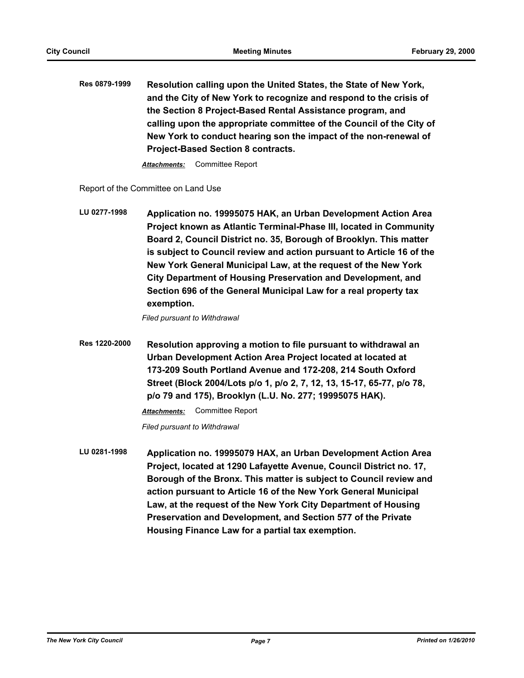**Res 0879-1999 Resolution calling upon the United States, the State of New York, and the City of New York to recognize and respond to the crisis of the Section 8 Project-Based Rental Assistance program, and calling upon the appropriate committee of the Council of the City of New York to conduct hearing son the impact of the non-renewal of Project-Based Section 8 contracts.**

*Attachments:* Committee Report

Report of the Committee on Land Use

**LU 0277-1998 Application no. 19995075 HAK, an Urban Development Action Area Project known as Atlantic Terminal-Phase III, located in Community Board 2, Council District no. 35, Borough of Brooklyn. This matter is subject to Council review and action pursuant to Article 16 of the New York General Municipal Law, at the request of the New York City Department of Housing Preservation and Development, and Section 696 of the General Municipal Law for a real property tax exemption.**

*Filed pursuant to Withdrawal*

**Res 1220-2000 Resolution approving a motion to file pursuant to withdrawal an Urban Development Action Area Project located at located at 173-209 South Portland Avenue and 172-208, 214 South Oxford Street (Block 2004/Lots p/o 1, p/o 2, 7, 12, 13, 15-17, 65-77, p/o 78, p/o 79 and 175), Brooklyn (L.U. No. 277; 19995075 HAK).**

*Attachments:* Committee Report

*Filed pursuant to Withdrawal*

**LU 0281-1998 Application no. 19995079 HAX, an Urban Development Action Area Project, located at 1290 Lafayette Avenue, Council District no. 17, Borough of the Bronx. This matter is subject to Council review and action pursuant to Article 16 of the New York General Municipal Law, at the request of the New York City Department of Housing Preservation and Development, and Section 577 of the Private Housing Finance Law for a partial tax exemption.**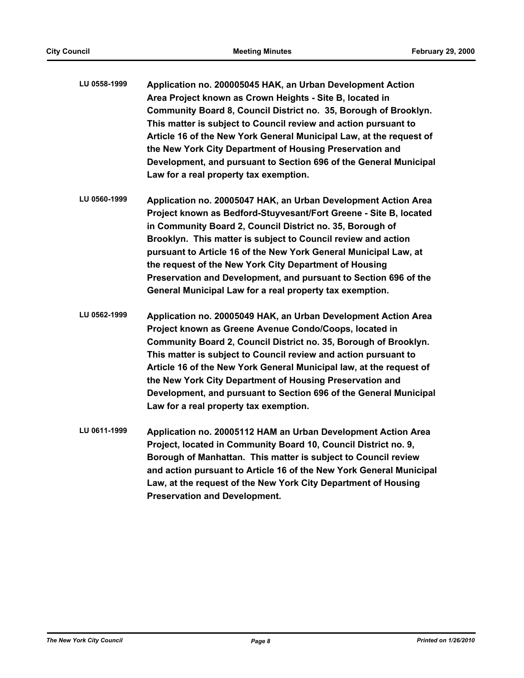- **LU 0558-1999 Application no. 200005045 HAK, an Urban Development Action Area Project known as Crown Heights - Site B, located in Community Board 8, Council District no. 35, Borough of Brooklyn. This matter is subject to Council review and action pursuant to Article 16 of the New York General Municipal Law, at the request of the New York City Department of Housing Preservation and Development, and pursuant to Section 696 of the General Municipal Law for a real property tax exemption.**
- **LU 0560-1999 Application no. 20005047 HAK, an Urban Development Action Area Project known as Bedford-Stuyvesant/Fort Greene - Site B, located in Community Board 2, Council District no. 35, Borough of Brooklyn. This matter is subject to Council review and action pursuant to Article 16 of the New York General Municipal Law, at the request of the New York City Department of Housing Preservation and Development, and pursuant to Section 696 of the General Municipal Law for a real property tax exemption.**
- **LU 0562-1999 Application no. 20005049 HAK, an Urban Development Action Area Project known as Greene Avenue Condo/Coops, located in Community Board 2, Council District no. 35, Borough of Brooklyn. This matter is subject to Council review and action pursuant to Article 16 of the New York General Municipal law, at the request of the New York City Department of Housing Preservation and Development, and pursuant to Section 696 of the General Municipal Law for a real property tax exemption.**
- **LU 0611-1999 Application no. 20005112 HAM an Urban Development Action Area Project, located in Community Board 10, Council District no. 9, Borough of Manhattan. This matter is subject to Council review and action pursuant to Article 16 of the New York General Municipal Law, at the request of the New York City Department of Housing Preservation and Development.**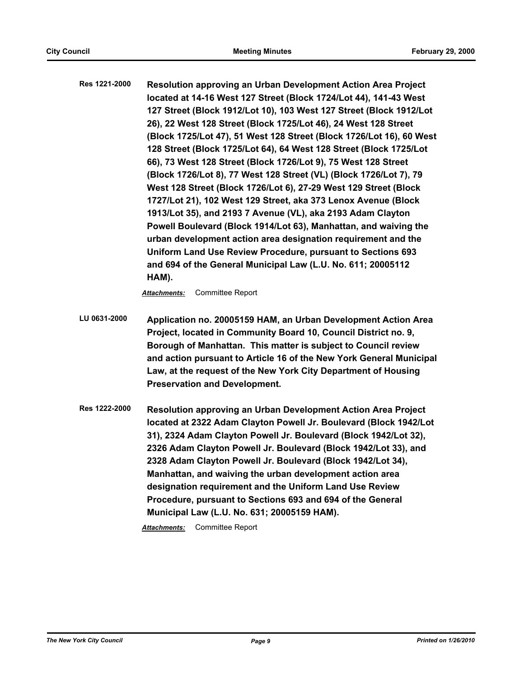**Res 1221-2000 Resolution approving an Urban Development Action Area Project located at 14-16 West 127 Street (Block 1724/Lot 44), 141-43 West 127 Street (Block 1912/Lot 10), 103 West 127 Street (Block 1912/Lot 26), 22 West 128 Street (Block 1725/Lot 46), 24 West 128 Street (Block 1725/Lot 47), 51 West 128 Street (Block 1726/Lot 16), 60 West 128 Street (Block 1725/Lot 64), 64 West 128 Street (Block 1725/Lot 66), 73 West 128 Street (Block 1726/Lot 9), 75 West 128 Street (Block 1726/Lot 8), 77 West 128 Street (VL) (Block 1726/Lot 7), 79 West 128 Street (Block 1726/Lot 6), 27-29 West 129 Street (Block 1727/Lot 21), 102 West 129 Street, aka 373 Lenox Avenue (Block 1913/Lot 35), and 2193 7 Avenue (VL), aka 2193 Adam Clayton Powell Boulevard (Block 1914/Lot 63), Manhattan, and waiving the urban development action area designation requirement and the Uniform Land Use Review Procedure, pursuant to Sections 693 and 694 of the General Municipal Law (L.U. No. 611; 20005112 HAM).**

*Attachments:* Committee Report

**LU 0631-2000 Application no. 20005159 HAM, an Urban Development Action Area Project, located in Community Board 10, Council District no. 9, Borough of Manhattan. This matter is subject to Council review and action pursuant to Article 16 of the New York General Municipal Law, at the request of the New York City Department of Housing Preservation and Development.**

**Res 1222-2000 Resolution approving an Urban Development Action Area Project located at 2322 Adam Clayton Powell Jr. Boulevard (Block 1942/Lot 31), 2324 Adam Clayton Powell Jr. Boulevard (Block 1942/Lot 32), 2326 Adam Clayton Powell Jr. Boulevard (Block 1942/Lot 33), and 2328 Adam Clayton Powell Jr. Boulevard (Block 1942/Lot 34), Manhattan, and waiving the urban development action area designation requirement and the Uniform Land Use Review Procedure, pursuant to Sections 693 and 694 of the General Municipal Law (L.U. No. 631; 20005159 HAM).**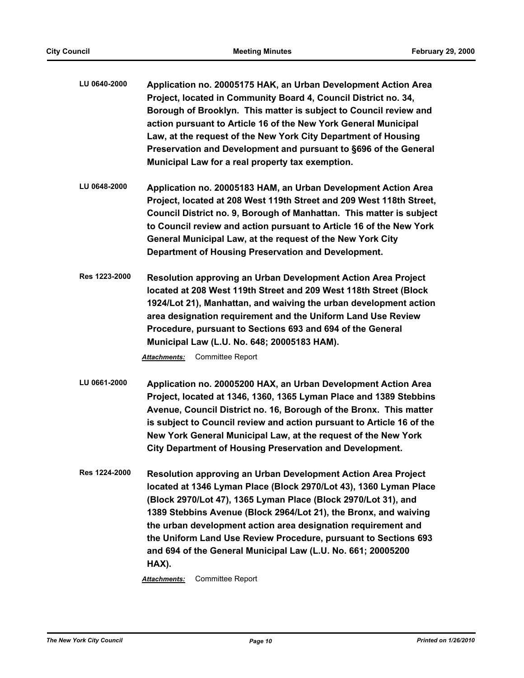- **LU 0640-2000 Application no. 20005175 HAK, an Urban Development Action Area Project, located in Community Board 4, Council District no. 34, Borough of Brooklyn. This matter is subject to Council review and action pursuant to Article 16 of the New York General Municipal Law, at the request of the New York City Department of Housing Preservation and Development and pursuant to §696 of the General Municipal Law for a real property tax exemption.**
- **LU 0648-2000 Application no. 20005183 HAM, an Urban Development Action Area Project, located at 208 West 119th Street and 209 West 118th Street, Council District no. 9, Borough of Manhattan. This matter is subject to Council review and action pursuant to Article 16 of the New York General Municipal Law, at the request of the New York City Department of Housing Preservation and Development.**
- **Res 1223-2000 Resolution approving an Urban Development Action Area Project located at 208 West 119th Street and 209 West 118th Street (Block 1924/Lot 21), Manhattan, and waiving the urban development action area designation requirement and the Uniform Land Use Review Procedure, pursuant to Sections 693 and 694 of the General Municipal Law (L.U. No. 648; 20005183 HAM).**

- **LU 0661-2000 Application no. 20005200 HAX, an Urban Development Action Area Project, located at 1346, 1360, 1365 Lyman Place and 1389 Stebbins Avenue, Council District no. 16, Borough of the Bronx. This matter is subject to Council review and action pursuant to Article 16 of the New York General Municipal Law, at the request of the New York City Department of Housing Preservation and Development.**
- **Res 1224-2000 Resolution approving an Urban Development Action Area Project located at 1346 Lyman Place (Block 2970/Lot 43), 1360 Lyman Place (Block 2970/Lot 47), 1365 Lyman Place (Block 2970/Lot 31), and 1389 Stebbins Avenue (Block 2964/Lot 21), the Bronx, and waiving the urban development action area designation requirement and the Uniform Land Use Review Procedure, pursuant to Sections 693 and 694 of the General Municipal Law (L.U. No. 661; 20005200 HAX).**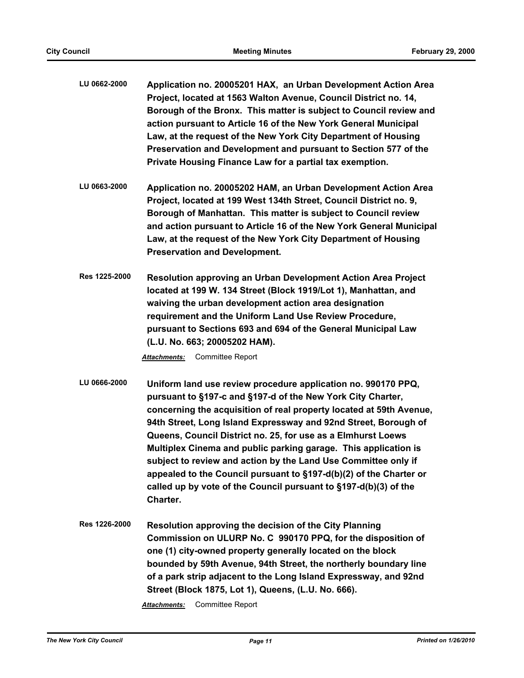| LU 0662-2000 | Application no. 20005201 HAX, an Urban Development Action Area     |
|--------------|--------------------------------------------------------------------|
|              | Project, located at 1563 Walton Avenue, Council District no. 14,   |
|              | Borough of the Bronx. This matter is subject to Council review and |
|              | action pursuant to Article 16 of the New York General Municipal    |
|              | Law, at the request of the New York City Department of Housing     |
|              | Preservation and Development and pursuant to Section 577 of the    |
|              | Private Housing Finance Law for a partial tax exemption.           |

- **LU 0663-2000 Application no. 20005202 HAM, an Urban Development Action Area Project, located at 199 West 134th Street, Council District no. 9, Borough of Manhattan. This matter is subject to Council review and action pursuant to Article 16 of the New York General Municipal Law, at the request of the New York City Department of Housing Preservation and Development.**
- **Res 1225-2000 Resolution approving an Urban Development Action Area Project located at 199 W. 134 Street (Block 1919/Lot 1), Manhattan, and waiving the urban development action area designation requirement and the Uniform Land Use Review Procedure, pursuant to Sections 693 and 694 of the General Municipal Law (L.U. No. 663; 20005202 HAM).**

- **LU 0666-2000 Uniform land use review procedure application no. 990170 PPQ, pursuant to §197-c and §197-d of the New York City Charter, concerning the acquisition of real property located at 59th Avenue, 94th Street, Long Island Expressway and 92nd Street, Borough of Queens, Council District no. 25, for use as a Elmhurst Loews Multiplex Cinema and public parking garage. This application is subject to review and action by the Land Use Committee only if appealed to the Council pursuant to §197-d(b)(2) of the Charter or called up by vote of the Council pursuant to §197-d(b)(3) of the Charter.**
- **Res 1226-2000 Resolution approving the decision of the City Planning Commission on ULURP No. C 990170 PPQ, for the disposition of one (1) city-owned property generally located on the block bounded by 59th Avenue, 94th Street, the northerly boundary line of a park strip adjacent to the Long Island Expressway, and 92nd Street (Block 1875, Lot 1), Queens, (L.U. No. 666).**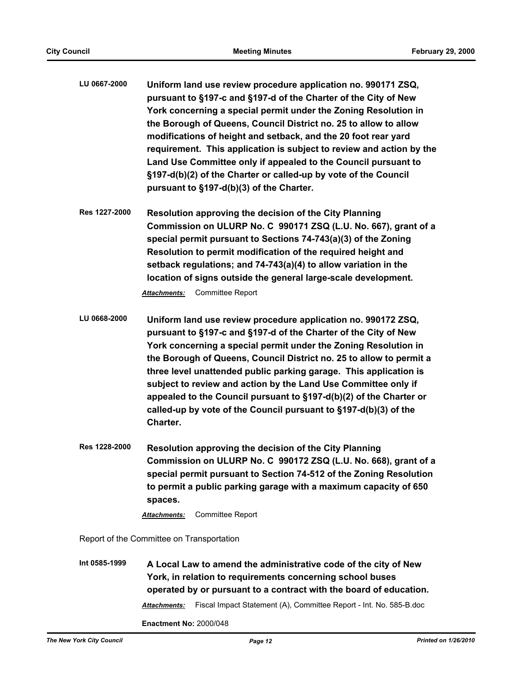- **LU 0667-2000 Uniform land use review procedure application no. 990171 ZSQ, pursuant to §197-c and §197-d of the Charter of the City of New York concerning a special permit under the Zoning Resolution in the Borough of Queens, Council District no. 25 to allow to allow modifications of height and setback, and the 20 foot rear yard requirement. This application is subject to review and action by the Land Use Committee only if appealed to the Council pursuant to §197-d(b)(2) of the Charter or called-up by vote of the Council pursuant to §197-d(b)(3) of the Charter.**
- **Res 1227-2000 Resolution approving the decision of the City Planning Commission on ULURP No. C 990171 ZSQ (L.U. No. 667), grant of a special permit pursuant to Sections 74-743(a)(3) of the Zoning Resolution to permit modification of the required height and setback regulations; and 74-743(a)(4) to allow variation in the location of signs outside the general large-scale development.**

- **LU 0668-2000 Uniform land use review procedure application no. 990172 ZSQ, pursuant to §197-c and §197-d of the Charter of the City of New York concerning a special permit under the Zoning Resolution in the Borough of Queens, Council District no. 25 to allow to permit a three level unattended public parking garage. This application is subject to review and action by the Land Use Committee only if appealed to the Council pursuant to §197-d(b)(2) of the Charter or called-up by vote of the Council pursuant to §197-d(b)(3) of the Charter.**
- **Res 1228-2000 Resolution approving the decision of the City Planning Commission on ULURP No. C 990172 ZSQ (L.U. No. 668), grant of a special permit pursuant to Section 74-512 of the Zoning Resolution to permit a public parking garage with a maximum capacity of 650 spaces.**

*Attachments:* Committee Report

Report of the Committee on Transportation

**Int 0585-1999 A Local Law to amend the administrative code of the city of New York, in relation to requirements concerning school buses operated by or pursuant to a contract with the board of education.** *Attachments:* Fiscal Impact Statement (A), Committee Report - Int. No. 585-B.doc

**Enactment No:** 2000/048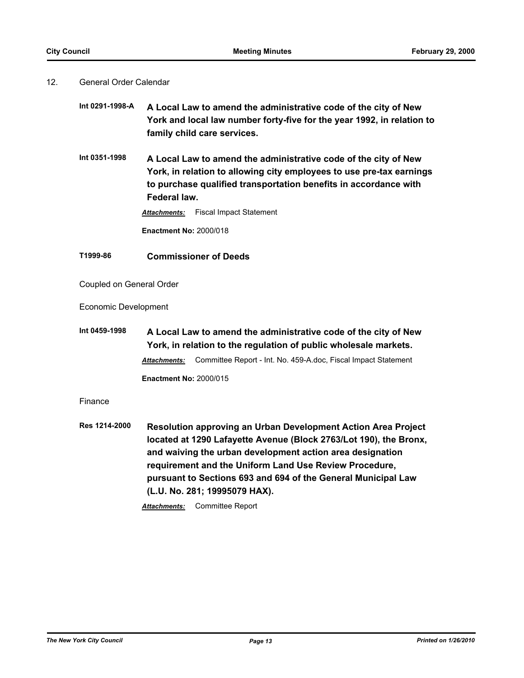# 12. General Order Calendar

| Int 0291-1998-A | A Local Law to amend the administrative code of the city of New        |
|-----------------|------------------------------------------------------------------------|
|                 | York and local law number forty-five for the year 1992, in relation to |
|                 | family child care services.                                            |

**Int 0351-1998 A Local Law to amend the administrative code of the city of New York, in relation to allowing city employees to use pre-tax earnings to purchase qualified transportation benefits in accordance with Federal law.**

*Attachments:* Fiscal Impact Statement

**Enactment No:** 2000/018

# **T1999-86 Commissioner of Deeds**

Coupled on General Order

Economic Development

**Int 0459-1998 A Local Law to amend the administrative code of the city of New York, in relation to the regulation of public wholesale markets.** *Attachments:* Committee Report - Int. No. 459-A.doc, Fiscal Impact Statement **Enactment No:** 2000/015

# Finance

**Res 1214-2000 Resolution approving an Urban Development Action Area Project located at 1290 Lafayette Avenue (Block 2763/Lot 190), the Bronx, and waiving the urban development action area designation requirement and the Uniform Land Use Review Procedure, pursuant to Sections 693 and 694 of the General Municipal Law (L.U. No. 281; 19995079 HAX).**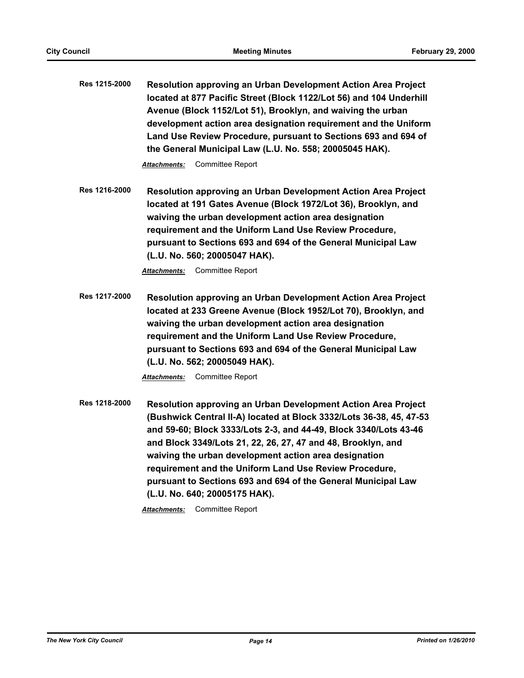**Res 1215-2000 Resolution approving an Urban Development Action Area Project located at 877 Pacific Street (Block 1122/Lot 56) and 104 Underhill Avenue (Block 1152/Lot 51), Brooklyn, and waiving the urban development action area designation requirement and the Uniform Land Use Review Procedure, pursuant to Sections 693 and 694 of the General Municipal Law (L.U. No. 558; 20005045 HAK).**

*Attachments:* Committee Report

**Res 1216-2000 Resolution approving an Urban Development Action Area Project located at 191 Gates Avenue (Block 1972/Lot 36), Brooklyn, and waiving the urban development action area designation requirement and the Uniform Land Use Review Procedure, pursuant to Sections 693 and 694 of the General Municipal Law (L.U. No. 560; 20005047 HAK).**

*Attachments:* Committee Report

**Res 1217-2000 Resolution approving an Urban Development Action Area Project located at 233 Greene Avenue (Block 1952/Lot 70), Brooklyn, and waiving the urban development action area designation requirement and the Uniform Land Use Review Procedure, pursuant to Sections 693 and 694 of the General Municipal Law (L.U. No. 562; 20005049 HAK).**

*Attachments:* Committee Report

**Res 1218-2000 Resolution approving an Urban Development Action Area Project (Bushwick Central II-A) located at Block 3332/Lots 36-38, 45, 47-53 and 59-60; Block 3333/Lots 2-3, and 44-49, Block 3340/Lots 43-46 and Block 3349/Lots 21, 22, 26, 27, 47 and 48, Brooklyn, and waiving the urban development action area designation requirement and the Uniform Land Use Review Procedure, pursuant to Sections 693 and 694 of the General Municipal Law (L.U. No. 640; 20005175 HAK).**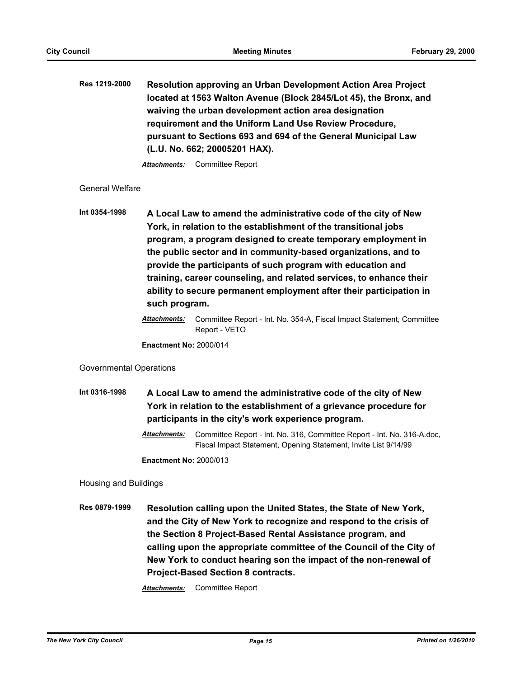**Res 1219-2000 Resolution approving an Urban Development Action Area Project located at 1563 Walton Avenue (Block 2845/Lot 45), the Bronx, and waiving the urban development action area designation requirement and the Uniform Land Use Review Procedure, pursuant to Sections 693 and 694 of the General Municipal Law (L.U. No. 662; 20005201 HAX).**

*Attachments:* Committee Report

# General Welfare

**Int 0354-1998 A Local Law to amend the administrative code of the city of New York, in relation to the establishment of the transitional jobs program, a program designed to create temporary employment in the public sector and in community-based organizations, and to provide the participants of such program with education and training, career counseling, and related services, to enhance their ability to secure permanent employment after their participation in such program.**

**Enactment No:** 2000/014

# Governmental Operations

**Int 0316-1998 A Local Law to amend the administrative code of the city of New York in relation to the establishment of a grievance procedure for participants in the city's work experience program.**

> *Attachments:* Committee Report - Int. No. 316, Committee Report - Int. No. 316-A.doc, Fiscal Impact Statement, Opening Statement, Invite List 9/14/99

**Enactment No:** 2000/013

Housing and Buildings

**Res 0879-1999 Resolution calling upon the United States, the State of New York, and the City of New York to recognize and respond to the crisis of the Section 8 Project-Based Rental Assistance program, and calling upon the appropriate committee of the Council of the City of New York to conduct hearing son the impact of the non-renewal of Project-Based Section 8 contracts.**

*Attachments:* Committee Report - Int. No. 354-A, Fiscal Impact Statement, Committee Report - VETO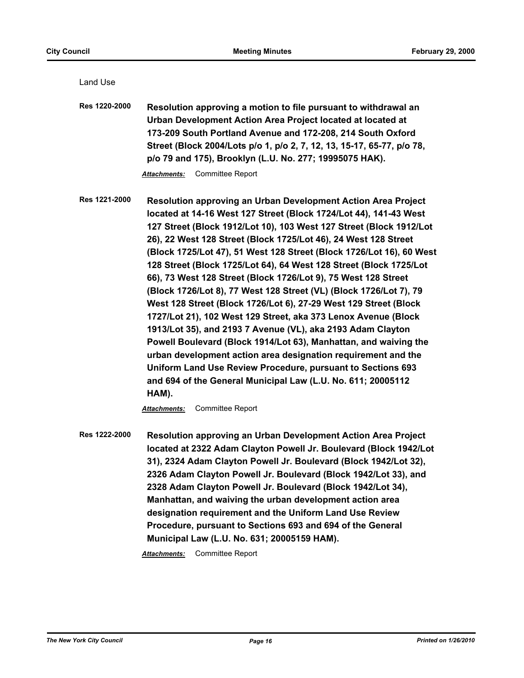Land Use

| <b>Res 1220-2000</b> | Resolution approving a motion to file pursuant to withdrawal an<br>Urban Development Action Area Project located at located at<br>173-209 South Portland Avenue and 172-208, 214 South Oxford<br>Street (Block 2004/Lots p/o 1, p/o 2, 7, 12, 13, 15-17, 65-77, p/o 78,<br>p/o 79 and 175), Brooklyn (L.U. No. 277; 19995075 HAK).<br>Committee Report<br>Attachments:                                                                                                                                                                                                                                                                                                                                                                                                                                                                                                                                                                                                                                                                                                                          |
|----------------------|-------------------------------------------------------------------------------------------------------------------------------------------------------------------------------------------------------------------------------------------------------------------------------------------------------------------------------------------------------------------------------------------------------------------------------------------------------------------------------------------------------------------------------------------------------------------------------------------------------------------------------------------------------------------------------------------------------------------------------------------------------------------------------------------------------------------------------------------------------------------------------------------------------------------------------------------------------------------------------------------------------------------------------------------------------------------------------------------------|
| Res 1221-2000        | Resolution approving an Urban Development Action Area Project<br>located at 14-16 West 127 Street (Block 1724/Lot 44), 141-43 West<br>127 Street (Block 1912/Lot 10), 103 West 127 Street (Block 1912/Lot<br>26), 22 West 128 Street (Block 1725/Lot 46), 24 West 128 Street<br>(Block 1725/Lot 47), 51 West 128 Street (Block 1726/Lot 16), 60 West<br>128 Street (Block 1725/Lot 64), 64 West 128 Street (Block 1725/Lot<br>66), 73 West 128 Street (Block 1726/Lot 9), 75 West 128 Street<br>(Block 1726/Lot 8), 77 West 128 Street (VL) (Block 1726/Lot 7), 79<br>West 128 Street (Block 1726/Lot 6), 27-29 West 129 Street (Block<br>1727/Lot 21), 102 West 129 Street, aka 373 Lenox Avenue (Block<br>1913/Lot 35), and 2193 7 Avenue (VL), aka 2193 Adam Clayton<br>Powell Boulevard (Block 1914/Lot 63), Manhattan, and waiving the<br>urban development action area designation requirement and the<br>Uniform Land Use Review Procedure, pursuant to Sections 693<br>and 694 of the General Municipal Law (L.U. No. 611; 20005112<br>HAM).<br><b>Committee Report</b><br>Attachments: |
| Res 1222-2000        | Resolution approving an Urban Development Action Area Project<br>located at 2322 Adam Clayton Powell Jr. Boulevard (Block 1942/Lot<br>31), 2324 Adam Clayton Powell Jr. Boulevard (Block 1942/Lot 32),<br>2326 Adam Clayton Powell Jr. Boulevard (Block 1942/Lot 33), and<br>2328 Adam Clayton Powell Jr. Boulevard (Block 1942/Lot 34),<br>Manhattan, and waiving the urban development action area<br>designation requirement and the Uniform Land Use Review<br>Procedure, pursuant to Sections 693 and 694 of the General<br>Municipal Law (L.U. No. 631; 20005159 HAM).                                                                                                                                                                                                                                                                                                                                                                                                                                                                                                                    |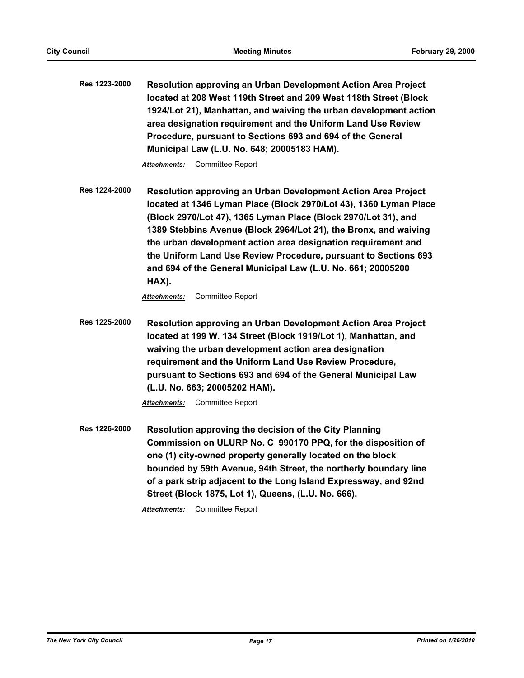**Res 1223-2000 Resolution approving an Urban Development Action Area Project located at 208 West 119th Street and 209 West 118th Street (Block 1924/Lot 21), Manhattan, and waiving the urban development action area designation requirement and the Uniform Land Use Review Procedure, pursuant to Sections 693 and 694 of the General Municipal Law (L.U. No. 648; 20005183 HAM).**

*Attachments:* Committee Report

**Res 1224-2000 Resolution approving an Urban Development Action Area Project located at 1346 Lyman Place (Block 2970/Lot 43), 1360 Lyman Place (Block 2970/Lot 47), 1365 Lyman Place (Block 2970/Lot 31), and 1389 Stebbins Avenue (Block 2964/Lot 21), the Bronx, and waiving the urban development action area designation requirement and the Uniform Land Use Review Procedure, pursuant to Sections 693 and 694 of the General Municipal Law (L.U. No. 661; 20005200 HAX).**

*Attachments:* Committee Report

**Res 1225-2000 Resolution approving an Urban Development Action Area Project located at 199 W. 134 Street (Block 1919/Lot 1), Manhattan, and waiving the urban development action area designation requirement and the Uniform Land Use Review Procedure, pursuant to Sections 693 and 694 of the General Municipal Law (L.U. No. 663; 20005202 HAM).**

*Attachments:* Committee Report

**Res 1226-2000 Resolution approving the decision of the City Planning Commission on ULURP No. C 990170 PPQ, for the disposition of one (1) city-owned property generally located on the block bounded by 59th Avenue, 94th Street, the northerly boundary line of a park strip adjacent to the Long Island Expressway, and 92nd Street (Block 1875, Lot 1), Queens, (L.U. No. 666).**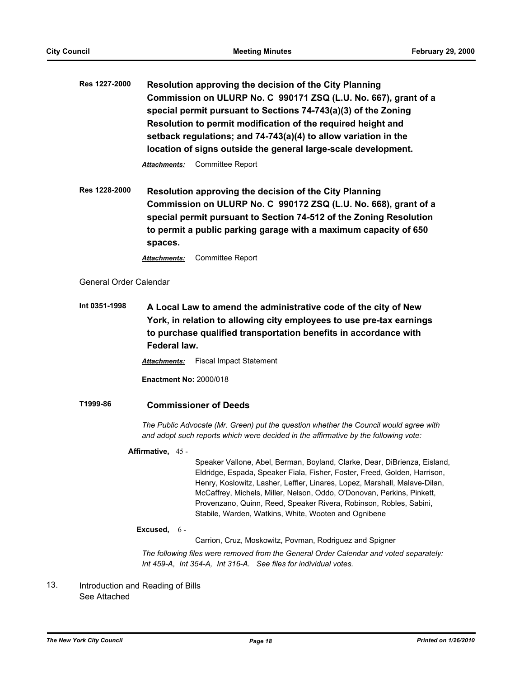**Res 1227-2000 Resolution approving the decision of the City Planning Commission on ULURP No. C 990171 ZSQ (L.U. No. 667), grant of a special permit pursuant to Sections 74-743(a)(3) of the Zoning Resolution to permit modification of the required height and setback regulations; and 74-743(a)(4) to allow variation in the location of signs outside the general large-scale development.**

*Attachments:* Committee Report

**Res 1228-2000 Resolution approving the decision of the City Planning Commission on ULURP No. C 990172 ZSQ (L.U. No. 668), grant of a special permit pursuant to Section 74-512 of the Zoning Resolution to permit a public parking garage with a maximum capacity of 650 spaces.**

*Attachments:* Committee Report

General Order Calendar

**Int 0351-1998 A Local Law to amend the administrative code of the city of New York, in relation to allowing city employees to use pre-tax earnings to purchase qualified transportation benefits in accordance with Federal law.**

*Attachments:* Fiscal Impact Statement

**Enactment No:** 2000/018

# **T1999-86 Commissioner of Deeds**

*The Public Advocate (Mr. Green) put the question whether the Council would agree with and adopt such reports which were decided in the affirmative by the following vote:*

# **Affirmative,** 45 -

Speaker Vallone, Abel, Berman, Boyland, Clarke, Dear, DiBrienza, Eisland, Eldridge, Espada, Speaker Fiala, Fisher, Foster, Freed, Golden, Harrison, Henry, Koslowitz, Lasher, Leffler, Linares, Lopez, Marshall, Malave-Dilan, McCaffrey, Michels, Miller, Nelson, Oddo, O'Donovan, Perkins, Pinkett, Provenzano, Quinn, Reed, Speaker Rivera, Robinson, Robles, Sabini, Stabile, Warden, Watkins, White, Wooten and Ognibene

#### **Excused,** 6 -

Carrion, Cruz, Moskowitz, Povman, Rodriguez and Spigner

*The following files were removed from the General Order Calendar and voted separately: Int 459-A, Int 354-A, Int 316-A. See files for individual votes.*

Introduction and Reading of Bills See Attached 13.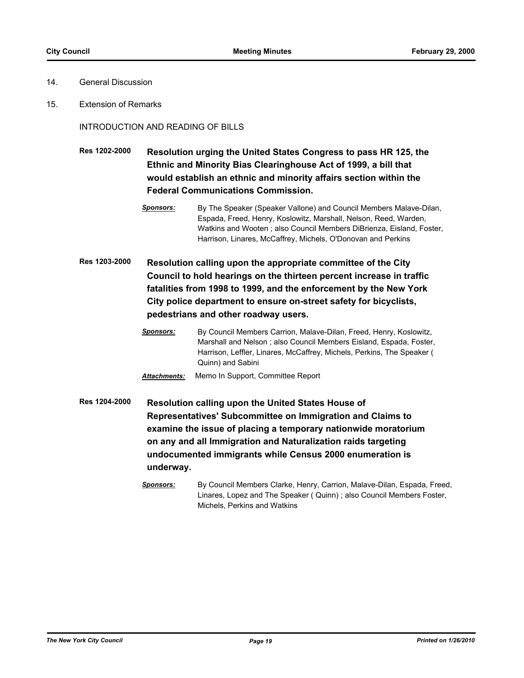- 14. General Discussion
- 15. Extension of Remarks

INTRODUCTION AND READING OF BILLS

**Res 1202-2000 Resolution urging the United States Congress to pass HR 125, the Ethnic and Minority Bias Clearinghouse Act of 1999, a bill that would establish an ethnic and minority affairs section within the Federal Communications Commission.**

- *Sponsors:* By The Speaker (Speaker Vallone) and Council Members Malave-Dilan, Espada, Freed, Henry, Koslowitz, Marshall, Nelson, Reed, Warden, Watkins and Wooten ; also Council Members DiBrienza, Eisland, Foster, Harrison, Linares, McCaffrey, Michels, O'Donovan and Perkins
- **Res 1203-2000 Resolution calling upon the appropriate committee of the City Council to hold hearings on the thirteen percent increase in traffic fatalities from 1998 to 1999, and the enforcement by the New York City police department to ensure on-street safety for bicyclists, pedestrians and other roadway users.**
	- *Sponsors:* By Council Members Carrion, Malave-Dilan, Freed, Henry, Koslowitz, Marshall and Nelson ; also Council Members Eisland, Espada, Foster, Harrison, Leffler, Linares, McCaffrey, Michels, Perkins, The Speaker ( Quinn) and Sabini

**Res 1204-2000 Resolution calling upon the United States House of Representatives' Subcommittee on Immigration and Claims to examine the issue of placing a temporary nationwide moratorium on any and all Immigration and Naturalization raids targeting undocumented immigrants while Census 2000 enumeration is underway.**

*Attachments:* Memo In Support, Committee Report

*Sponsors:* By Council Members Clarke, Henry, Carrion, Malave-Dilan, Espada, Freed, Linares, Lopez and The Speaker ( Quinn) ; also Council Members Foster, Michels, Perkins and Watkins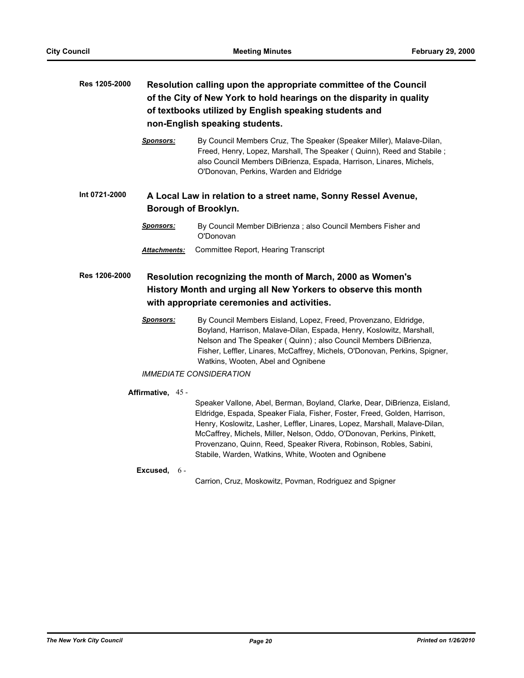# **Res 1205-2000 Resolution calling upon the appropriate committee of the Council of the City of New York to hold hearings on the disparity in quality of textbooks utilized by English speaking students and non-English speaking students.**

*Sponsors:* By Council Members Cruz, The Speaker (Speaker Miller), Malave-Dilan, Freed, Henry, Lopez, Marshall, The Speaker ( Quinn), Reed and Stabile ; also Council Members DiBrienza, Espada, Harrison, Linares, Michels, O'Donovan, Perkins, Warden and Eldridge

# **Int 0721-2000 A Local Law in relation to a street name, Sonny Ressel Avenue, Borough of Brooklyn.**

- *Sponsors:* By Council Member DiBrienza ; also Council Members Fisher and O'Donovan
- *Attachments:* Committee Report, Hearing Transcript

# **Res 1206-2000 Resolution recognizing the month of March, 2000 as Women's History Month and urging all New Yorkers to observe this month with appropriate ceremonies and activities.**

*Sponsors:* By Council Members Eisland, Lopez, Freed, Provenzano, Eldridge, Boyland, Harrison, Malave-Dilan, Espada, Henry, Koslowitz, Marshall, Nelson and The Speaker ( Quinn) ; also Council Members DiBrienza, Fisher, Leffler, Linares, McCaffrey, Michels, O'Donovan, Perkins, Spigner, Watkins, Wooten, Abel and Ognibene

## *IMMEDIATE CONSIDERATION*

### **Affirmative,** 45 -

Speaker Vallone, Abel, Berman, Boyland, Clarke, Dear, DiBrienza, Eisland, Eldridge, Espada, Speaker Fiala, Fisher, Foster, Freed, Golden, Harrison, Henry, Koslowitz, Lasher, Leffler, Linares, Lopez, Marshall, Malave-Dilan, McCaffrey, Michels, Miller, Nelson, Oddo, O'Donovan, Perkins, Pinkett, Provenzano, Quinn, Reed, Speaker Rivera, Robinson, Robles, Sabini, Stabile, Warden, Watkins, White, Wooten and Ognibene

#### **Excused,** 6 -

Carrion, Cruz, Moskowitz, Povman, Rodriguez and Spigner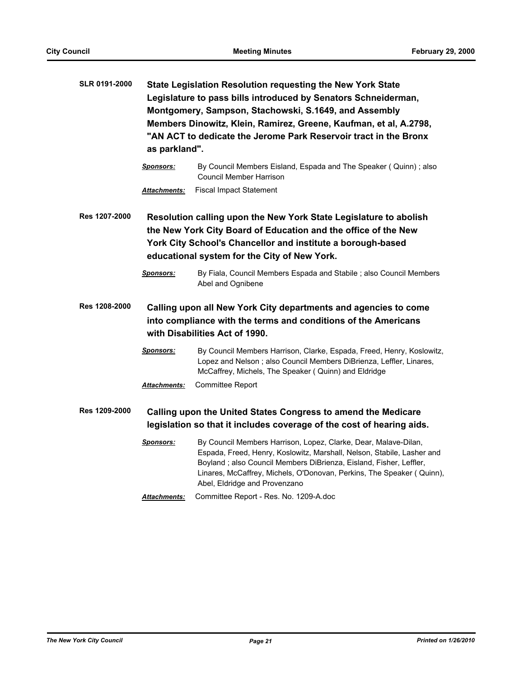| <b>SLR 0191-2000</b> | <b>State Legislation Resolution requesting the New York State</b><br>Legislature to pass bills introduced by Senators Schneiderman,<br>Montgomery, Sampson, Stachowski, S.1649, and Assembly<br>Members Dinowitz, Klein, Ramirez, Greene, Kaufman, et al, A.2798,<br>"AN ACT to dedicate the Jerome Park Reservoir tract in the Bronx<br>as parkland". |                                                                                                                                                                                                                                                                                                                           |
|----------------------|--------------------------------------------------------------------------------------------------------------------------------------------------------------------------------------------------------------------------------------------------------------------------------------------------------------------------------------------------------|---------------------------------------------------------------------------------------------------------------------------------------------------------------------------------------------------------------------------------------------------------------------------------------------------------------------------|
|                      | <u>Sponsors:</u>                                                                                                                                                                                                                                                                                                                                       | By Council Members Eisland, Espada and The Speaker (Quinn); also<br>Council Member Harrison                                                                                                                                                                                                                               |
|                      | Attachments:                                                                                                                                                                                                                                                                                                                                           | <b>Fiscal Impact Statement</b>                                                                                                                                                                                                                                                                                            |
| Res 1207-2000        |                                                                                                                                                                                                                                                                                                                                                        | Resolution calling upon the New York State Legislature to abolish<br>the New York City Board of Education and the office of the New<br>York City School's Chancellor and institute a borough-based<br>educational system for the City of New York.                                                                        |
|                      | <b>Sponsors:</b>                                                                                                                                                                                                                                                                                                                                       | By Fiala, Council Members Espada and Stabile ; also Council Members<br>Abel and Ognibene                                                                                                                                                                                                                                  |
| Res 1208-2000        | Calling upon all New York City departments and agencies to come<br>into compliance with the terms and conditions of the Americans<br>with Disabilities Act of 1990.                                                                                                                                                                                    |                                                                                                                                                                                                                                                                                                                           |
|                      | <b>Sponsors:</b>                                                                                                                                                                                                                                                                                                                                       | By Council Members Harrison, Clarke, Espada, Freed, Henry, Koslowitz,<br>Lopez and Nelson ; also Council Members DiBrienza, Leffler, Linares,<br>McCaffrey, Michels, The Speaker (Quinn) and Eldridge                                                                                                                     |
|                      | <b>Attachments:</b>                                                                                                                                                                                                                                                                                                                                    | Committee Report                                                                                                                                                                                                                                                                                                          |
| Res 1209-2000        |                                                                                                                                                                                                                                                                                                                                                        | Calling upon the United States Congress to amend the Medicare<br>legislation so that it includes coverage of the cost of hearing aids.                                                                                                                                                                                    |
|                      | <b>Sponsors:</b>                                                                                                                                                                                                                                                                                                                                       | By Council Members Harrison, Lopez, Clarke, Dear, Malave-Dilan,<br>Espada, Freed, Henry, Koslowitz, Marshall, Nelson, Stabile, Lasher and<br>Boyland; also Council Members DiBrienza, Eisland, Fisher, Leffler,<br>Linares, McCaffrey, Michels, O'Donovan, Perkins, The Speaker (Quinn),<br>Abel, Eldridge and Provenzano |
|                      | <b>Attachments:</b>                                                                                                                                                                                                                                                                                                                                    | Committee Report - Res. No. 1209-A.doc                                                                                                                                                                                                                                                                                    |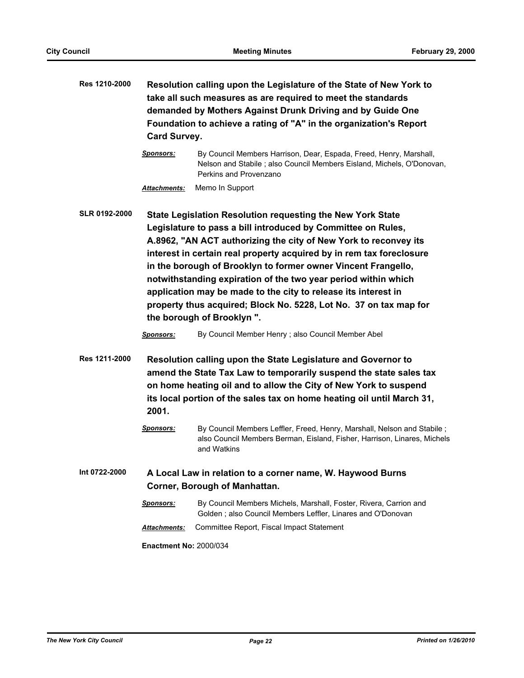| Res 1210-2000        | <b>Card Survey.</b>                                                                                                                                                                                                                                                                        | Resolution calling upon the Legislature of the State of New York to<br>take all such measures as are required to meet the standards<br>demanded by Mothers Against Drunk Driving and by Guide One<br>Foundation to achieve a rating of "A" in the organization's Report                                                                                                                                                                                                                                                                                                       |
|----------------------|--------------------------------------------------------------------------------------------------------------------------------------------------------------------------------------------------------------------------------------------------------------------------------------------|-------------------------------------------------------------------------------------------------------------------------------------------------------------------------------------------------------------------------------------------------------------------------------------------------------------------------------------------------------------------------------------------------------------------------------------------------------------------------------------------------------------------------------------------------------------------------------|
|                      | Sponsors:                                                                                                                                                                                                                                                                                  | By Council Members Harrison, Dear, Espada, Freed, Henry, Marshall,<br>Nelson and Stabile; also Council Members Eisland, Michels, O'Donovan,<br>Perkins and Provenzano                                                                                                                                                                                                                                                                                                                                                                                                         |
|                      | <b>Attachments:</b>                                                                                                                                                                                                                                                                        | Memo In Support                                                                                                                                                                                                                                                                                                                                                                                                                                                                                                                                                               |
| <b>SLR 0192-2000</b> |                                                                                                                                                                                                                                                                                            | State Legislation Resolution requesting the New York State<br>Legislature to pass a bill introduced by Committee on Rules,<br>A.8962, "AN ACT authorizing the city of New York to reconvey its<br>interest in certain real property acquired by in rem tax foreclosure<br>in the borough of Brooklyn to former owner Vincent Frangello,<br>notwithstanding expiration of the two year period within which<br>application may be made to the city to release its interest in<br>property thus acquired; Block No. 5228, Lot No. 37 on tax map for<br>the borough of Brooklyn". |
|                      | Sponsors:                                                                                                                                                                                                                                                                                  | By Council Member Henry ; also Council Member Abel                                                                                                                                                                                                                                                                                                                                                                                                                                                                                                                            |
| Res 1211-2000        | Resolution calling upon the State Legislature and Governor to<br>amend the State Tax Law to temporarily suspend the state sales tax<br>on home heating oil and to allow the City of New York to suspend<br>its local portion of the sales tax on home heating oil until March 31,<br>2001. |                                                                                                                                                                                                                                                                                                                                                                                                                                                                                                                                                                               |
|                      | <b>Sponsors:</b>                                                                                                                                                                                                                                                                           | By Council Members Leffler, Freed, Henry, Marshall, Nelson and Stabile;<br>also Council Members Berman, Eisland, Fisher, Harrison, Linares, Michels<br>and Watkins                                                                                                                                                                                                                                                                                                                                                                                                            |
| Int 0722-2000        |                                                                                                                                                                                                                                                                                            | A Local Law in relation to a corner name, W. Haywood Burns<br>Corner, Borough of Manhattan.                                                                                                                                                                                                                                                                                                                                                                                                                                                                                   |
|                      | <b>Sponsors:</b>                                                                                                                                                                                                                                                                           | By Council Members Michels, Marshall, Foster, Rivera, Carrion and<br>Golden; also Council Members Leffler, Linares and O'Donovan                                                                                                                                                                                                                                                                                                                                                                                                                                              |
|                      | Attachments:                                                                                                                                                                                                                                                                               | Committee Report, Fiscal Impact Statement                                                                                                                                                                                                                                                                                                                                                                                                                                                                                                                                     |
|                      | <b>Enactment No: 2000/034</b>                                                                                                                                                                                                                                                              |                                                                                                                                                                                                                                                                                                                                                                                                                                                                                                                                                                               |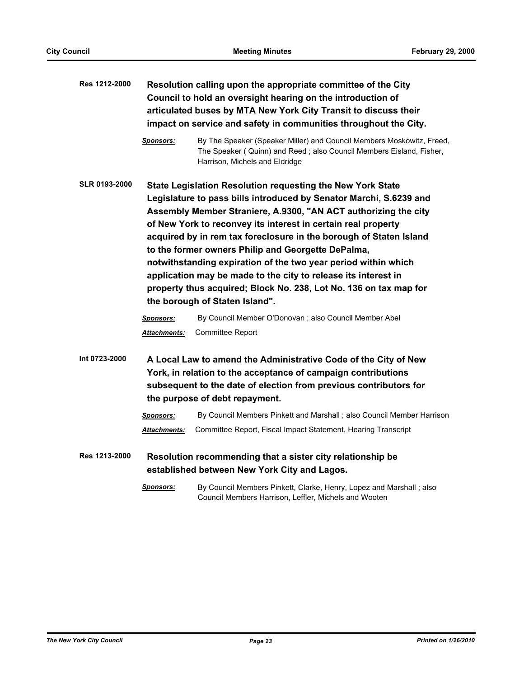| Res 1212-2000        |                                                                                                                                                                                                                                         | Resolution calling upon the appropriate committee of the City<br>Council to hold an oversight hearing on the introduction of<br>articulated buses by MTA New York City Transit to discuss their<br>impact on service and safety in communities throughout the City.                                                                                                                                                                                                                                                                                                                                                                         |
|----------------------|-----------------------------------------------------------------------------------------------------------------------------------------------------------------------------------------------------------------------------------------|---------------------------------------------------------------------------------------------------------------------------------------------------------------------------------------------------------------------------------------------------------------------------------------------------------------------------------------------------------------------------------------------------------------------------------------------------------------------------------------------------------------------------------------------------------------------------------------------------------------------------------------------|
|                      | <b>Sponsors:</b>                                                                                                                                                                                                                        | By The Speaker (Speaker Miller) and Council Members Moskowitz, Freed,<br>The Speaker (Quinn) and Reed; also Council Members Eisland, Fisher,<br>Harrison, Michels and Eldridge                                                                                                                                                                                                                                                                                                                                                                                                                                                              |
| <b>SLR 0193-2000</b> |                                                                                                                                                                                                                                         | State Legislation Resolution requesting the New York State<br>Legislature to pass bills introduced by Senator Marchi, S.6239 and<br>Assembly Member Straniere, A.9300, "AN ACT authorizing the city<br>of New York to reconvey its interest in certain real property<br>acquired by in rem tax foreclosure in the borough of Staten Island<br>to the former owners Philip and Georgette DePalma,<br>notwithstanding expiration of the two year period within which<br>application may be made to the city to release its interest in<br>property thus acquired; Block No. 238, Lot No. 136 on tax map for<br>the borough of Staten Island". |
|                      | <u>Sponsors:</u><br><u> Attachments:</u>                                                                                                                                                                                                | By Council Member O'Donovan ; also Council Member Abel<br>Committee Report                                                                                                                                                                                                                                                                                                                                                                                                                                                                                                                                                                  |
| Int 0723-2000        | A Local Law to amend the Administrative Code of the City of New<br>York, in relation to the acceptance of campaign contributions<br>subsequent to the date of election from previous contributors for<br>the purpose of debt repayment. |                                                                                                                                                                                                                                                                                                                                                                                                                                                                                                                                                                                                                                             |
|                      | <u>Sponsors:</u>                                                                                                                                                                                                                        | By Council Members Pinkett and Marshall ; also Council Member Harrison                                                                                                                                                                                                                                                                                                                                                                                                                                                                                                                                                                      |
|                      | Attachments:                                                                                                                                                                                                                            | Committee Report, Fiscal Impact Statement, Hearing Transcript                                                                                                                                                                                                                                                                                                                                                                                                                                                                                                                                                                               |
| Res 1213-2000        |                                                                                                                                                                                                                                         | Resolution recommending that a sister city relationship be<br>established between New York City and Lagos.                                                                                                                                                                                                                                                                                                                                                                                                                                                                                                                                  |
|                      | <b>Sponsors:</b>                                                                                                                                                                                                                        | By Council Members Pinkett, Clarke, Henry, Lopez and Marshall; also<br>Council Members Harrison, Leffler, Michels and Wooten                                                                                                                                                                                                                                                                                                                                                                                                                                                                                                                |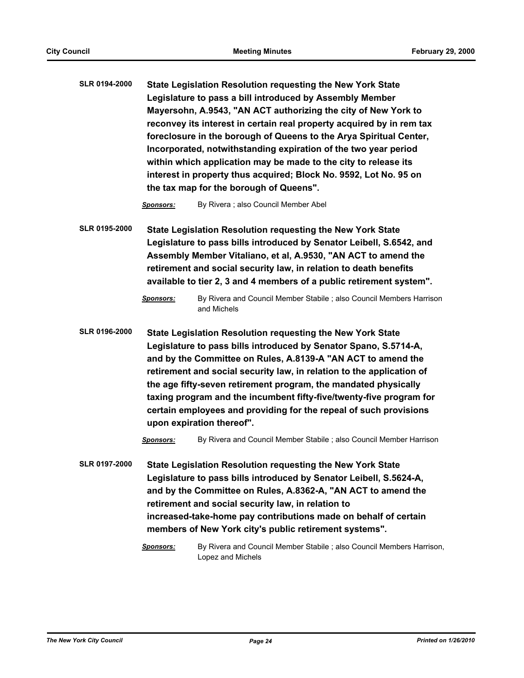**SLR 0194-2000 State Legislation Resolution requesting the New York State Legislature to pass a bill introduced by Assembly Member Mayersohn, A.9543, "AN ACT authorizing the city of New York to reconvey its interest in certain real property acquired by in rem tax foreclosure in the borough of Queens to the Arya Spiritual Center, Incorporated, notwithstanding expiration of the two year period within which application may be made to the city to release its interest in property thus acquired; Block No. 9592, Lot No. 95 on the tax map for the borough of Queens".**

*Sponsors:* By Rivera ; also Council Member Abel

**SLR 0195-2000 State Legislation Resolution requesting the New York State Legislature to pass bills introduced by Senator Leibell, S.6542, and Assembly Member Vitaliano, et al, A.9530, "AN ACT to amend the retirement and social security law, in relation to death benefits available to tier 2, 3 and 4 members of a public retirement system".**

*Sponsors:* By Rivera and Council Member Stabile ; also Council Members Harrison and Michels

**SLR 0196-2000 State Legislation Resolution requesting the New York State Legislature to pass bills introduced by Senator Spano, S.5714-A, and by the Committee on Rules, A.8139-A "AN ACT to amend the retirement and social security law, in relation to the application of the age fifty-seven retirement program, the mandated physically taxing program and the incumbent fifty-five/twenty-five program for certain employees and providing for the repeal of such provisions upon expiration thereof".**

*Sponsors:* By Rivera and Council Member Stabile ; also Council Member Harrison

**SLR 0197-2000 State Legislation Resolution requesting the New York State Legislature to pass bills introduced by Senator Leibell, S.5624-A, and by the Committee on Rules, A.8362-A, "AN ACT to amend the retirement and social security law, in relation to increased-take-home pay contributions made on behalf of certain members of New York city's public retirement systems".**

> *Sponsors:* By Rivera and Council Member Stabile ; also Council Members Harrison, Lopez and Michels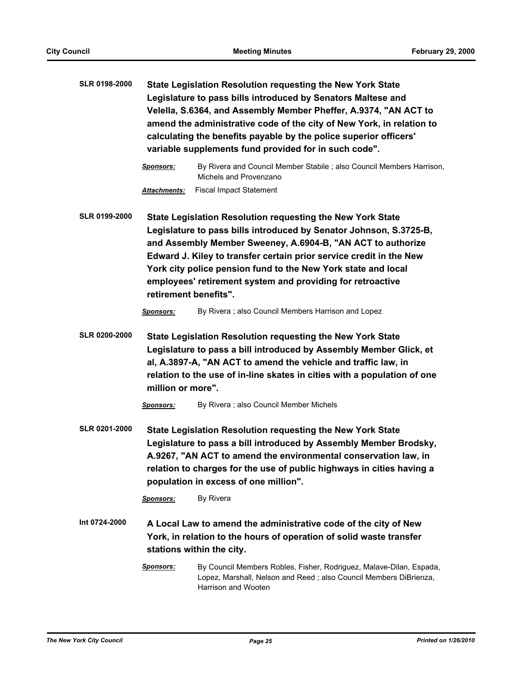| SLR 0198-2000        | State Legislation Resolution requesting the New York State<br>Legislature to pass bills introduced by Senators Maltese and<br>Velella, S.6364, and Assembly Member Pheffer, A.9374, "AN ACT to<br>amend the administrative code of the city of New York, in relation to<br>calculating the benefits payable by the police superior officers'<br>variable supplements fund provided for in such code". |                                                                                                                                                                                                                                                                                                                                                                                                       |
|----------------------|-------------------------------------------------------------------------------------------------------------------------------------------------------------------------------------------------------------------------------------------------------------------------------------------------------------------------------------------------------------------------------------------------------|-------------------------------------------------------------------------------------------------------------------------------------------------------------------------------------------------------------------------------------------------------------------------------------------------------------------------------------------------------------------------------------------------------|
|                      | <b>Sponsors:</b>                                                                                                                                                                                                                                                                                                                                                                                      | By Rivera and Council Member Stabile; also Council Members Harrison,<br>Michels and Provenzano                                                                                                                                                                                                                                                                                                        |
|                      | Attachments:                                                                                                                                                                                                                                                                                                                                                                                          | <b>Fiscal Impact Statement</b>                                                                                                                                                                                                                                                                                                                                                                        |
| <b>SLR 0199-2000</b> | retirement benefits".                                                                                                                                                                                                                                                                                                                                                                                 | State Legislation Resolution requesting the New York State<br>Legislature to pass bills introduced by Senator Johnson, S.3725-B,<br>and Assembly Member Sweeney, A.6904-B, "AN ACT to authorize<br>Edward J. Kiley to transfer certain prior service credit in the New<br>York city police pension fund to the New York state and local<br>employees' retirement system and providing for retroactive |
|                      | <b>Sponsors:</b>                                                                                                                                                                                                                                                                                                                                                                                      | By Rivera; also Council Members Harrison and Lopez                                                                                                                                                                                                                                                                                                                                                    |
| <b>SLR 0200-2000</b> | million or more".<br><b>Sponsors:</b>                                                                                                                                                                                                                                                                                                                                                                 | State Legislation Resolution requesting the New York State<br>Legislature to pass a bill introduced by Assembly Member Glick, et<br>al, A.3897-A, "AN ACT to amend the vehicle and traffic law, in<br>relation to the use of in-line skates in cities with a population of one<br>By Rivera ; also Council Member Michels                                                                             |
| SLR 0201-2000        | <b>State Legislation Resolution requesting the New York State</b><br>Legislature to pass a bill introduced by Assembly Member Brodsky,<br>A.9267, "AN ACT to amend the environmental conservation law, in<br>relation to charges for the use of public highways in cities having a<br>population in excess of one million".<br>By Rivera<br><b>Sponsors:</b>                                          |                                                                                                                                                                                                                                                                                                                                                                                                       |
| Int 0724-2000        |                                                                                                                                                                                                                                                                                                                                                                                                       | A Local Law to amend the administrative code of the city of New<br>York, in relation to the hours of operation of solid waste transfer<br>stations within the city.                                                                                                                                                                                                                                   |
|                      | <b>Sponsors:</b>                                                                                                                                                                                                                                                                                                                                                                                      | By Council Members Robles, Fisher, Rodriguez, Malave-Dilan, Espada,<br>Lopez, Marshall, Nelson and Reed; also Council Members DiBrienza,<br>Harrison and Wooten                                                                                                                                                                                                                                       |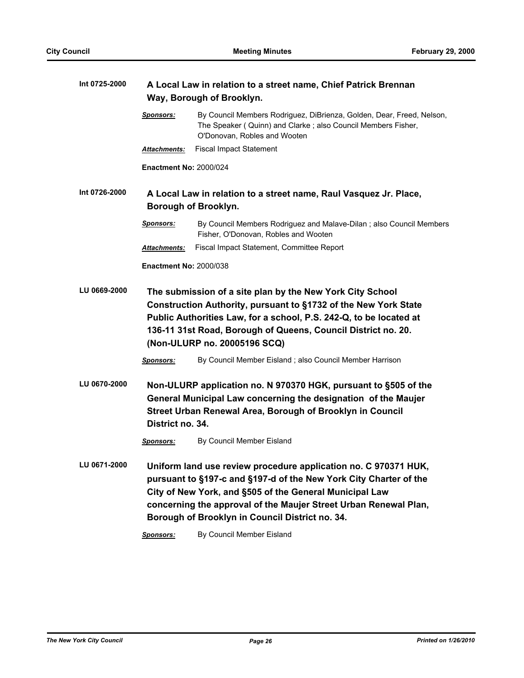| Int 0725-2000 |                               | A Local Law in relation to a street name, Chief Patrick Brennan<br>Way, Borough of Brooklyn.                                                                                                                                                                                                                           |  |  |
|---------------|-------------------------------|------------------------------------------------------------------------------------------------------------------------------------------------------------------------------------------------------------------------------------------------------------------------------------------------------------------------|--|--|
|               | <u>Sponsors:</u>              | By Council Members Rodriguez, DiBrienza, Golden, Dear, Freed, Nelson,<br>The Speaker (Quinn) and Clarke; also Council Members Fisher,<br>O'Donovan, Robles and Wooten                                                                                                                                                  |  |  |
|               | <b>Attachments:</b>           | <b>Fiscal Impact Statement</b>                                                                                                                                                                                                                                                                                         |  |  |
|               | <b>Enactment No: 2000/024</b> |                                                                                                                                                                                                                                                                                                                        |  |  |
| Int 0726-2000 |                               | A Local Law in relation to a street name, Raul Vasquez Jr. Place,<br>Borough of Brooklyn.                                                                                                                                                                                                                              |  |  |
|               | <b>Sponsors:</b>              | By Council Members Rodriguez and Malave-Dilan; also Council Members<br>Fisher, O'Donovan, Robles and Wooten                                                                                                                                                                                                            |  |  |
|               | <b>Attachments:</b>           | Fiscal Impact Statement, Committee Report                                                                                                                                                                                                                                                                              |  |  |
|               | <b>Enactment No: 2000/038</b> |                                                                                                                                                                                                                                                                                                                        |  |  |
| LU 0669-2000  |                               | The submission of a site plan by the New York City School<br>Construction Authority, pursuant to §1732 of the New York State<br>Public Authorities Law, for a school, P.S. 242-Q, to be located at<br>136-11 31st Road, Borough of Queens, Council District no. 20.<br>(Non-ULURP no. 20005196 SCQ)                    |  |  |
|               | <b>Sponsors:</b>              | By Council Member Eisland; also Council Member Harrison                                                                                                                                                                                                                                                                |  |  |
| LU 0670-2000  | District no. 34.              | Non-ULURP application no. N 970370 HGK, pursuant to §505 of the<br>General Municipal Law concerning the designation of the Maujer<br>Street Urban Renewal Area, Borough of Brooklyn in Council                                                                                                                         |  |  |
|               | <b>Sponsors:</b>              | By Council Member Eisland                                                                                                                                                                                                                                                                                              |  |  |
| LU 0671-2000  |                               | Uniform land use review procedure application no. C 970371 HUK,<br>pursuant to §197-c and §197-d of the New York City Charter of the<br>City of New York, and §505 of the General Municipal Law<br>concerning the approval of the Maujer Street Urban Renewal Plan,<br>Borough of Brooklyn in Council District no. 34. |  |  |
|               | Sponsors:                     | By Council Member Eisland                                                                                                                                                                                                                                                                                              |  |  |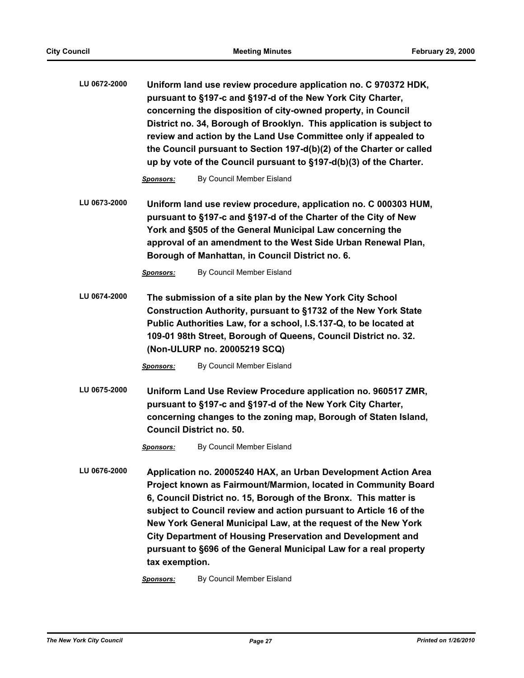| LU 0672-2000 | Uniform land use review procedure application no. C 970372 HDK,      |
|--------------|----------------------------------------------------------------------|
|              | pursuant to §197-c and §197-d of the New York City Charter,          |
|              | concerning the disposition of city-owned property, in Council        |
|              | District no. 34, Borough of Brooklyn. This application is subject to |
|              | review and action by the Land Use Committee only if appealed to      |
|              | the Council pursuant to Section 197-d(b)(2) of the Charter or called |
|              | up by vote of the Council pursuant to §197-d(b)(3) of the Charter.   |

**Sponsors:** By Council Member Eisland

**LU 0673-2000 Uniform land use review procedure, application no. C 000303 HUM, pursuant to §197-c and §197-d of the Charter of the City of New York and §505 of the General Municipal Law concerning the approval of an amendment to the West Side Urban Renewal Plan, Borough of Manhattan, in Council District no. 6.**

*Sponsors:* By Council Member Eisland

**LU 0674-2000 The submission of a site plan by the New York City School Construction Authority, pursuant to §1732 of the New York State Public Authorities Law, for a school, I.S.137-Q, to be located at 109-01 98th Street, Borough of Queens, Council District no. 32. (Non-ULURP no. 20005219 SCQ)**

*Sponsors:* By Council Member Eisland

**LU 0675-2000 Uniform Land Use Review Procedure application no. 960517 ZMR, pursuant to §197-c and §197-d of the New York City Charter, concerning changes to the zoning map, Borough of Staten Island, Council District no. 50.**

*Sponsors:* By Council Member Eisland

**LU 0676-2000 Application no. 20005240 HAX, an Urban Development Action Area Project known as Fairmount/Marmion, located in Community Board 6, Council District no. 15, Borough of the Bronx. This matter is subject to Council review and action pursuant to Article 16 of the New York General Municipal Law, at the request of the New York City Department of Housing Preservation and Development and pursuant to §696 of the General Municipal Law for a real property tax exemption.**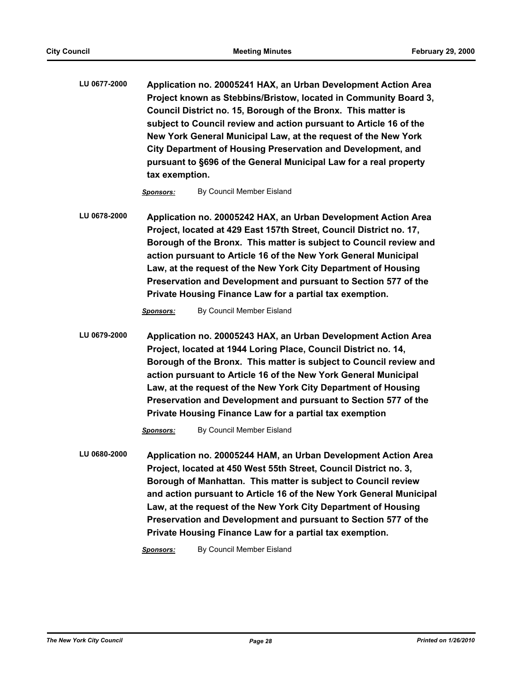**LU 0677-2000 Application no. 20005241 HAX, an Urban Development Action Area Project known as Stebbins/Bristow, located in Community Board 3, Council District no. 15, Borough of the Bronx. This matter is subject to Council review and action pursuant to Article 16 of the New York General Municipal Law, at the request of the New York City Department of Housing Preservation and Development, and pursuant to §696 of the General Municipal Law for a real property tax exemption.**

*Sponsors:* By Council Member Eisland

**LU 0678-2000 Application no. 20005242 HAX, an Urban Development Action Area Project, located at 429 East 157th Street, Council District no. 17, Borough of the Bronx. This matter is subject to Council review and action pursuant to Article 16 of the New York General Municipal Law, at the request of the New York City Department of Housing Preservation and Development and pursuant to Section 577 of the Private Housing Finance Law for a partial tax exemption.**

**Sponsors:** By Council Member Eisland

**LU 0679-2000 Application no. 20005243 HAX, an Urban Development Action Area Project, located at 1944 Loring Place, Council District no. 14, Borough of the Bronx. This matter is subject to Council review and action pursuant to Article 16 of the New York General Municipal Law, at the request of the New York City Department of Housing Preservation and Development and pursuant to Section 577 of the Private Housing Finance Law for a partial tax exemption**

*Sponsors:* By Council Member Eisland

**LU 0680-2000 Application no. 20005244 HAM, an Urban Development Action Area Project, located at 450 West 55th Street, Council District no. 3, Borough of Manhattan. This matter is subject to Council review and action pursuant to Article 16 of the New York General Municipal Law, at the request of the New York City Department of Housing Preservation and Development and pursuant to Section 577 of the Private Housing Finance Law for a partial tax exemption.**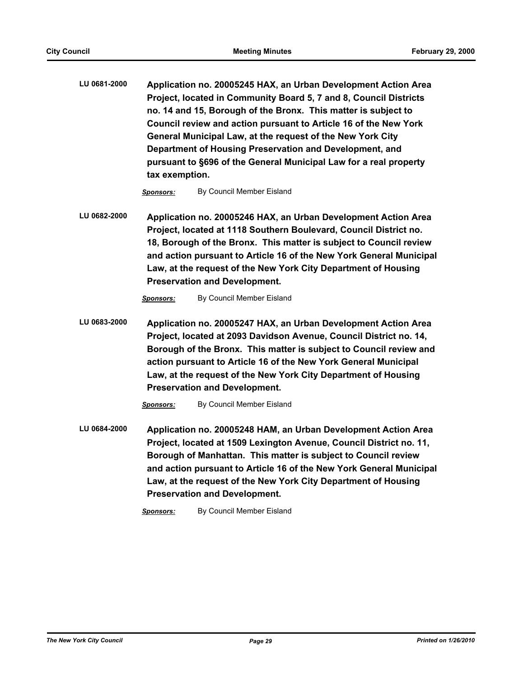**LU 0681-2000 Application no. 20005245 HAX, an Urban Development Action Area Project, located in Community Board 5, 7 and 8, Council Districts no. 14 and 15, Borough of the Bronx. This matter is subject to Council review and action pursuant to Article 16 of the New York General Municipal Law, at the request of the New York City Department of Housing Preservation and Development, and pursuant to §696 of the General Municipal Law for a real property tax exemption.**

*Sponsors:* By Council Member Eisland

**LU 0682-2000 Application no. 20005246 HAX, an Urban Development Action Area Project, located at 1118 Southern Boulevard, Council District no. 18, Borough of the Bronx. This matter is subject to Council review and action pursuant to Article 16 of the New York General Municipal Law, at the request of the New York City Department of Housing Preservation and Development.**

*Sponsors:* By Council Member Eisland

**LU 0683-2000 Application no. 20005247 HAX, an Urban Development Action Area Project, located at 2093 Davidson Avenue, Council District no. 14, Borough of the Bronx. This matter is subject to Council review and action pursuant to Article 16 of the New York General Municipal Law, at the request of the New York City Department of Housing Preservation and Development.**

*Sponsors:* By Council Member Eisland

**LU 0684-2000 Application no. 20005248 HAM, an Urban Development Action Area Project, located at 1509 Lexington Avenue, Council District no. 11, Borough of Manhattan. This matter is subject to Council review and action pursuant to Article 16 of the New York General Municipal Law, at the request of the New York City Department of Housing Preservation and Development.**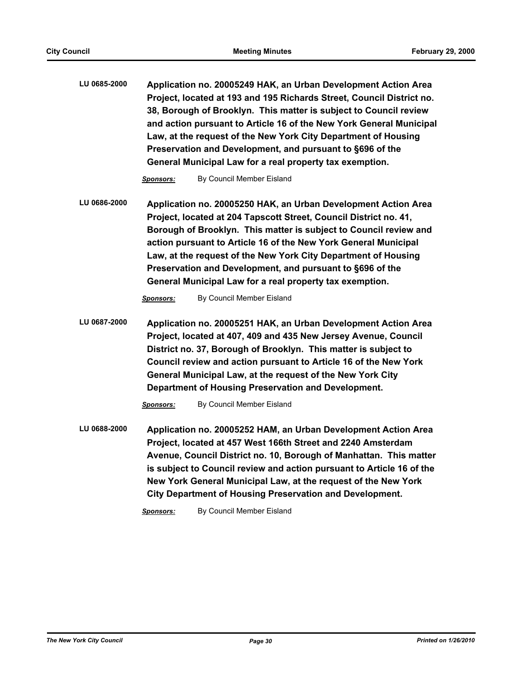**LU 0685-2000 Application no. 20005249 HAK, an Urban Development Action Area Project, located at 193 and 195 Richards Street, Council District no. 38, Borough of Brooklyn. This matter is subject to Council review and action pursuant to Article 16 of the New York General Municipal Law, at the request of the New York City Department of Housing Preservation and Development, and pursuant to §696 of the General Municipal Law for a real property tax exemption.**

*Sponsors:* By Council Member Eisland

**LU 0686-2000 Application no. 20005250 HAK, an Urban Development Action Area Project, located at 204 Tapscott Street, Council District no. 41, Borough of Brooklyn. This matter is subject to Council review and action pursuant to Article 16 of the New York General Municipal Law, at the request of the New York City Department of Housing Preservation and Development, and pursuant to §696 of the General Municipal Law for a real property tax exemption.**

*Sponsors:* By Council Member Eisland

**LU 0687-2000 Application no. 20005251 HAK, an Urban Development Action Area Project, located at 407, 409 and 435 New Jersey Avenue, Council District no. 37, Borough of Brooklyn. This matter is subject to Council review and action pursuant to Article 16 of the New York General Municipal Law, at the request of the New York City Department of Housing Preservation and Development.**

*Sponsors:* By Council Member Eisland

**LU 0688-2000 Application no. 20005252 HAM, an Urban Development Action Area Project, located at 457 West 166th Street and 2240 Amsterdam Avenue, Council District no. 10, Borough of Manhattan. This matter is subject to Council review and action pursuant to Article 16 of the New York General Municipal Law, at the request of the New York City Department of Housing Preservation and Development.**